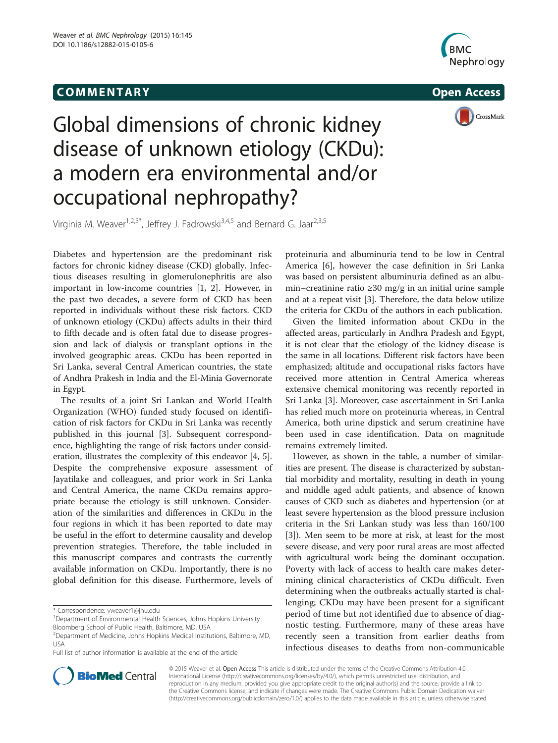# COMM EN TARY Open Access





# Global dimensions of chronic kidney disease of unknown etiology (CKDu): a modern era environmental and/or occupational nephropathy?

Virginia M. Weaver<sup>1,2,3\*</sup>, Jeffrey J. Fadrowski<sup>3,4,5</sup> and Bernard G. Jaar<sup>2,3,5</sup>

Diabetes and hypertension are the predominant risk factors for chronic kidney disease (CKD) globally. Infectious diseases resulting in glomerulonephritis are also important in low-income countries [\[1](#page-6-0), [2\]](#page-6-0). However, in the past two decades, a severe form of CKD has been reported in individuals without these risk factors. CKD of unknown etiology (CKDu) affects adults in their third to fifth decade and is often fatal due to disease progression and lack of dialysis or transplant options in the involved geographic areas. CKDu has been reported in Sri Lanka, several Central American countries, the state of Andhra Prakesh in India and the El-Minia Governorate in Egypt.

The results of a joint Sri Lankan and World Health Organization (WHO) funded study focused on identification of risk factors for CKDu in Sri Lanka was recently published in this journal [[3\]](#page-6-0). Subsequent correspondence, highlighting the range of risk factors under consideration, illustrates the complexity of this endeavor [\[4, 5](#page-6-0)]. Despite the comprehensive exposure assessment of Jayatilake and colleagues, and prior work in Sri Lanka and Central America, the name CKDu remains appropriate because the etiology is still unknown. Consideration of the similarities and differences in CKDu in the four regions in which it has been reported to date may be useful in the effort to determine causality and develop prevention strategies. Therefore, the table included in this manuscript compares and contrasts the currently available information on CKDu. Importantly, there is no global definition for this disease. Furthermore, levels of

Full list of author information is available at the end of the article

proteinuria and albuminuria tend to be low in Central America [\[6](#page-6-0)], however the case definition in Sri Lanka was based on persistent albuminuria defined as an albumin–creatinine ratio ≥30 mg/g in an initial urine sample and at a repeat visit [[3\]](#page-6-0). Therefore, the data below utilize the criteria for CKDu of the authors in each publication.

Given the limited information about CKDu in the affected areas, particularly in Andhra Pradesh and Egypt, it is not clear that the etiology of the kidney disease is the same in all locations. Different risk factors have been emphasized; altitude and occupational risks factors have received more attention in Central America whereas extensive chemical monitoring was recently reported in Sri Lanka [\[3\]](#page-6-0). Moreover, case ascertainment in Sri Lanka has relied much more on proteinuria whereas, in Central America, both urine dipstick and serum creatinine have been used in case identification. Data on magnitude remains extremely limited.

However, as shown in the table, a number of similarities are present. The disease is characterized by substantial morbidity and mortality, resulting in death in young and middle aged adult patients, and absence of known causes of CKD such as diabetes and hypertension (or at least severe hypertension as the blood pressure inclusion criteria in the Sri Lankan study was less than 160/100 [[3\]](#page-6-0)). Men seem to be more at risk, at least for the most severe disease, and very poor rural areas are most affected with agricultural work being the dominant occupation. Poverty with lack of access to health care makes determining clinical characteristics of CKDu difficult. Even determining when the outbreaks actually started is challenging; CKDu may have been present for a significant period of time but not identified due to absence of diagnostic testing. Furthermore, many of these areas have recently seen a transition from earlier deaths from infectious diseases to deaths from non-communicable



© 2015 Weaver et al. Open Access This article is distributed under the terms of the Creative Commons Attribution 4.0 International License [\(http://creativecommons.org/licenses/by/4.0/](http://creativecommons.org/publicdomain/zero/1.0/)), which permits unrestricted use, distribution, and reproduction in any medium, provided you give appropriate credit to the original author(s) and the source, provide a link to the Creative Commons license, and indicate if changes were made. The Creative Commons Public Domain Dedication waiver [\(http://creativecommons.org/publicdomain/zero/1.0/](http://creativecommons.org/publicdomain/zero/1.0/)) applies to the data made available in this article, unless otherwise stated.

<sup>\*</sup> Correspondence: [vweaver1@jhu.edu](mailto:vweaver1@jhu.edu) <sup>1</sup>

<sup>&</sup>lt;sup>1</sup>Department of Environmental Health Sciences, Johns Hopkins University Bloomberg School of Public Health, Baltimore, MD, USA

<sup>2</sup> Department of Medicine, Johns Hopkins Medical Institutions, Baltimore, MD, USA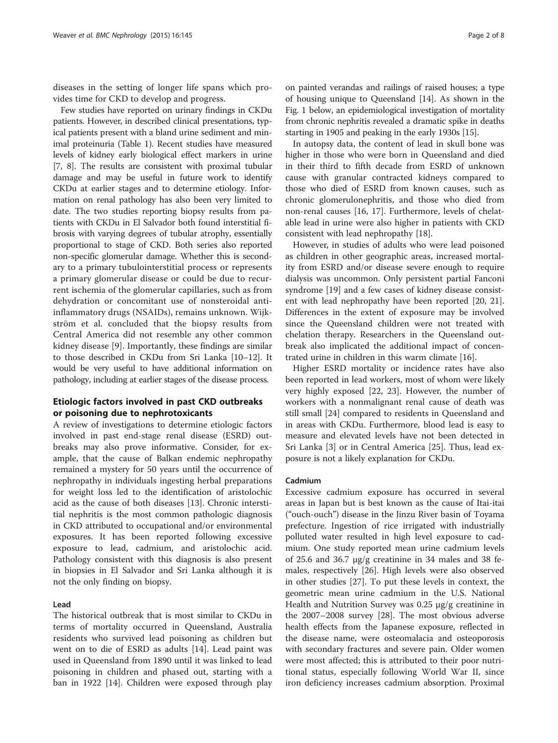diseases in the setting of longer life spans which provides time for CKD to develop and progress.

Few studies have reported on urinary findings in CKDu patients. However, in described clinical presentations, typical patients present with a bland urine sediment and minimal proteinuria (Table [1](#page-2-0)). Recent studies have measured levels of kidney early biological effect markers in urine [[7, 8](#page-6-0)]. The results are consistent with proximal tubular damage and may be useful in future work to identify CKDu at earlier stages and to determine etiology. Information on renal pathology has also been very limited to date. The two studies reporting biopsy results from patients with CKDu in El Salvador both found interstitial fibrosis with varying degrees of tubular atrophy, essentially proportional to stage of CKD. Both series also reported non-specific glomerular damage. Whether this is secondary to a primary tubulointerstitial process or represents a primary glomerular disease or could be due to recurrent ischemia of the glomerular capillaries, such as from dehydration or concomitant use of nonsteroidal antiinflammatory drugs (NSAIDs), remains unknown. Wijkström et al. concluded that the biopsy results from Central America did not resemble any other common kidney disease [\[9](#page-6-0)]. Importantly, these findings are similar to those described in CKDu from Sri Lanka [[10](#page-6-0)–[12\]](#page-6-0). It would be very useful to have additional information on pathology, including at earlier stages of the disease process.

# Etiologic factors involved in past CKD outbreaks or poisoning due to nephrotoxicants

A review of investigations to determine etiologic factors involved in past end-stage renal disease (ESRD) outbreaks may also prove informative. Consider, for example, that the cause of Balkan endemic nephropathy remained a mystery for 50 years until the occurrence of nephropathy in individuals ingesting herbal preparations for weight loss led to the identification of aristolochic acid as the cause of both diseases [\[13\]](#page-6-0). Chronic interstitial nephritis is the most common pathologic diagnosis in CKD attributed to occupational and/or environmental exposures. It has been reported following excessive exposure to lead, cadmium, and aristolochic acid. Pathology consistent with this diagnosis is also present in biopsies in El Salvador and Sri Lanka although it is not the only finding on biopsy.

# Lead

The historical outbreak that is most similar to CKDu in terms of mortality occurred in Queensland, Australia residents who survived lead poisoning as children but went on to die of ESRD as adults [[14\]](#page-6-0). Lead paint was used in Queensland from 1890 until it was linked to lead poisoning in children and phased out, starting with a ban in 1922 [[14\]](#page-6-0). Children were exposed through play

on painted verandas and railings of raised houses; a type of housing unique to Queensland [[14](#page-6-0)]. As shown in the Fig. [1](#page-4-0) below, an epidemiological investigation of mortality from chronic nephritis revealed a dramatic spike in deaths starting in 1905 and peaking in the early 1930s [[15](#page-6-0)].

In autopsy data, the content of lead in skull bone was higher in those who were born in Queensland and died in their third to fifth decade from ESRD of unknown cause with granular contracted kidneys compared to those who died of ESRD from known causes, such as chronic glomerulonephritis, and those who died from non-renal causes [\[16](#page-6-0), [17\]](#page-6-0). Furthermore, levels of chelatable lead in urine were also higher in patients with CKD consistent with lead nephropathy [[18\]](#page-6-0).

However, in studies of adults who were lead poisoned as children in other geographic areas, increased mortality from ESRD and/or disease severe enough to require dialysis was uncommon. Only persistent partial Fanconi syndrome [\[19](#page-6-0)] and a few cases of kidney disease consistent with lead nephropathy have been reported [[20](#page-6-0), [21](#page-6-0)]. Differences in the extent of exposure may be involved since the Queensland children were not treated with chelation therapy. Researchers in the Queensland outbreak also implicated the additional impact of concentrated urine in children in this warm climate [[16\]](#page-6-0).

Higher ESRD mortality or incidence rates have also been reported in lead workers, most of whom were likely very highly exposed [[22, 23](#page-6-0)]. However, the number of workers with a nonmalignant renal cause of death was still small [\[24\]](#page-6-0) compared to residents in Queensland and in areas with CKDu. Furthermore, blood lead is easy to measure and elevated levels have not been detected in Sri Lanka [[3\]](#page-6-0) or in Central America [[25](#page-6-0)]. Thus, lead exposure is not a likely explanation for CKDu.

# Cadmium

Excessive cadmium exposure has occurred in several areas in Japan but is best known as the cause of Itai-itai ("ouch-ouch") disease in the Jinzu River basin of Toyama prefecture. Ingestion of rice irrigated with industrially polluted water resulted in high level exposure to cadmium. One study reported mean urine cadmium levels of 25.6 and 36.7 μg/g creatinine in 34 males and 38 females, respectively [\[26\]](#page-6-0). High levels were also observed in other studies [\[27](#page-6-0)]. To put these levels in context, the geometric mean urine cadmium in the U.S. National Health and Nutrition Survey was 0.25 μg/g creatinine in the 2007–2008 survey [\[28](#page-6-0)]. The most obvious adverse health effects from the Japanese exposure, reflected in the disease name, were osteomalacia and osteoporosis with secondary fractures and severe pain. Older women were most affected; this is attributed to their poor nutritional status, especially following World War II, since iron deficiency increases cadmium absorption. Proximal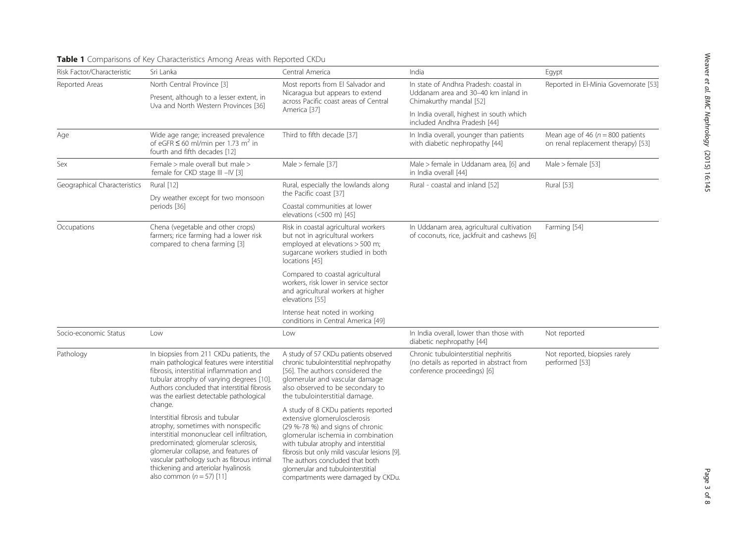| Risk Factor/Characteristic   | Sri Lanka                                                                                                                                                                                                                                                                                                                                                                                                                                                                                                                                                                                                              | Central America                                                                                                                                                                                                                                                                                                                                                                                                                                                                                                                                                                    | India                                                                                                           | Egypt                                                                     |
|------------------------------|------------------------------------------------------------------------------------------------------------------------------------------------------------------------------------------------------------------------------------------------------------------------------------------------------------------------------------------------------------------------------------------------------------------------------------------------------------------------------------------------------------------------------------------------------------------------------------------------------------------------|------------------------------------------------------------------------------------------------------------------------------------------------------------------------------------------------------------------------------------------------------------------------------------------------------------------------------------------------------------------------------------------------------------------------------------------------------------------------------------------------------------------------------------------------------------------------------------|-----------------------------------------------------------------------------------------------------------------|---------------------------------------------------------------------------|
| Reported Areas               | North Central Province [3]                                                                                                                                                                                                                                                                                                                                                                                                                                                                                                                                                                                             | Most reports from El Salvador and<br>Nicaragua but appears to extend<br>across Pacific coast areas of Central<br>America [37]                                                                                                                                                                                                                                                                                                                                                                                                                                                      | In state of Andhra Pradesh: coastal in<br>Uddanam area and 30-40 km inland in<br>Chimakurthy mandal [52]        | Reported in El-Minia Governorate [53]                                     |
|                              | Present, although to a lesser extent, in<br>Uva and North Western Provinces [36]                                                                                                                                                                                                                                                                                                                                                                                                                                                                                                                                       |                                                                                                                                                                                                                                                                                                                                                                                                                                                                                                                                                                                    |                                                                                                                 |                                                                           |
|                              |                                                                                                                                                                                                                                                                                                                                                                                                                                                                                                                                                                                                                        |                                                                                                                                                                                                                                                                                                                                                                                                                                                                                                                                                                                    | In India overall, highest in south which<br>included Andhra Pradesh [44]                                        |                                                                           |
| Age                          | Wide age range; increased prevalence<br>of eGFR $\leq$ 60 ml/min per 1.73 m <sup>2</sup> in<br>fourth and fifth decades [12]                                                                                                                                                                                                                                                                                                                                                                                                                                                                                           | Third to fifth decade [37]                                                                                                                                                                                                                                                                                                                                                                                                                                                                                                                                                         | In India overall, younger than patients<br>with diabetic nephropathy [44]                                       | Mean age of 46 ( $n = 800$ patients<br>on renal replacement therapy) [53] |
| Sex                          | Female > male overall but male ><br>female for CKD stage III -IV [3]                                                                                                                                                                                                                                                                                                                                                                                                                                                                                                                                                   | Male $>$ female [37]                                                                                                                                                                                                                                                                                                                                                                                                                                                                                                                                                               | Male > female in Uddanam area, [6] and<br>in India overall [44]                                                 | Male $>$ female [53]                                                      |
| Geographical Characteristics | Rural [12]                                                                                                                                                                                                                                                                                                                                                                                                                                                                                                                                                                                                             | Rural, especially the lowlands along<br>the Pacific coast [37]                                                                                                                                                                                                                                                                                                                                                                                                                                                                                                                     | Rural - coastal and inland [52]                                                                                 | Rural [53]                                                                |
|                              | Dry weather except for two monsoon<br>periods [36]                                                                                                                                                                                                                                                                                                                                                                                                                                                                                                                                                                     |                                                                                                                                                                                                                                                                                                                                                                                                                                                                                                                                                                                    |                                                                                                                 |                                                                           |
|                              |                                                                                                                                                                                                                                                                                                                                                                                                                                                                                                                                                                                                                        | Coastal communities at lower<br>elevations (<500 m) [45]                                                                                                                                                                                                                                                                                                                                                                                                                                                                                                                           |                                                                                                                 |                                                                           |
| Occupations                  | Chena (vegetable and other crops)<br>farmers; rice farming had a lower risk<br>compared to chena farming [3]                                                                                                                                                                                                                                                                                                                                                                                                                                                                                                           | Risk in coastal agricultural workers<br>but not in agricultural workers<br>employed at elevations > 500 m;<br>sugarcane workers studied in both<br>locations [45]                                                                                                                                                                                                                                                                                                                                                                                                                  | In Uddanam area, agricultural cultivation<br>of coconuts, rice, jackfruit and cashews [6]                       | Farming [54]                                                              |
|                              |                                                                                                                                                                                                                                                                                                                                                                                                                                                                                                                                                                                                                        | Compared to coastal agricultural<br>workers, risk lower in service sector<br>and agricultural workers at higher<br>elevations [55]                                                                                                                                                                                                                                                                                                                                                                                                                                                 |                                                                                                                 |                                                                           |
|                              |                                                                                                                                                                                                                                                                                                                                                                                                                                                                                                                                                                                                                        | Intense heat noted in working<br>conditions in Central America [49]                                                                                                                                                                                                                                                                                                                                                                                                                                                                                                                |                                                                                                                 |                                                                           |
| Socio-economic Status        | Low                                                                                                                                                                                                                                                                                                                                                                                                                                                                                                                                                                                                                    | Low                                                                                                                                                                                                                                                                                                                                                                                                                                                                                                                                                                                | In India overall, lower than those with<br>diabetic nephropathy [44]                                            | Not reported                                                              |
| Pathology                    | In biopsies from 211 CKDu patients, the<br>main pathological features were interstitial<br>fibrosis, interstitial inflammation and<br>tubular atrophy of varying degrees [10].<br>Authors concluded that interstitial fibrosis<br>was the earliest detectable pathological<br>change.<br>Interstitial fibrosis and tubular<br>atrophy, sometimes with nonspecific<br>interstitial mononuclear cell infiltration,<br>predominated; glomerular sclerosis,<br>glomerular collapse, and features of<br>vascular pathology such as fibrous intimal<br>thickening and arteriolar hyalinosis<br>also common ( $n = 57$ ) [11] | A study of 57 CKDu patients observed<br>chronic tubulointerstitial nephropathy<br>[56]. The authors considered the<br>glomerular and vascular damage<br>also observed to be secondary to<br>the tubulointerstitial damage.<br>A study of 8 CKDu patients reported<br>extensive glomerulosclerosis<br>(29 %-78 %) and signs of chronic<br>glomerular ischemia in combination<br>with tubular atrophy and interstitial<br>fibrosis but only mild vascular lesions [9].<br>The authors concluded that both<br>glomerular and tubulointerstitial<br>compartments were damaged by CKDu. | Chronic tubulointerstitial nephritis<br>(no details as reported in abstract from<br>conference proceedings) [6] | Not reported, biopsies rarely<br>performed [53]                           |

# <span id="page-2-0"></span>Table 1 Comparisons of Key Characteristics Among Areas with Reported CKDu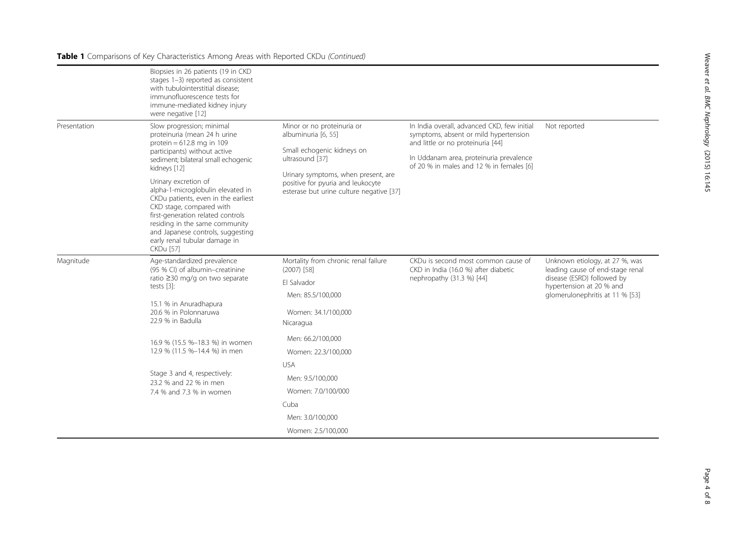# Table 1 Comparisons of Key Characteristics Among Areas with Reported CKDu (Continued)

|              | Biopsies in 26 patients (19 in CKD<br>stages 1-3) reported as consistent<br>with tubulointerstitial disease;<br>immunofluorescence tests for<br>immune-mediated kidney injury<br>were negative [12]                                                                                                                                                                                                                                                                              |                                                                                                                                                                                                                            |                                                                                                                                                                                                                  |                                                                                                                                                                 |
|--------------|----------------------------------------------------------------------------------------------------------------------------------------------------------------------------------------------------------------------------------------------------------------------------------------------------------------------------------------------------------------------------------------------------------------------------------------------------------------------------------|----------------------------------------------------------------------------------------------------------------------------------------------------------------------------------------------------------------------------|------------------------------------------------------------------------------------------------------------------------------------------------------------------------------------------------------------------|-----------------------------------------------------------------------------------------------------------------------------------------------------------------|
| Presentation | Slow progression; minimal<br>proteinuria (mean 24 h urine<br>protein = $612.8$ mg in 109<br>participants) without active<br>sediment; bilateral small echogenic<br>kidneys [12]<br>Urinary excretion of<br>alpha-1-microglobulin elevated in<br>CKDu patients, even in the earliest<br>CKD stage, compared with<br>first-generation related controls<br>residing in the same community<br>and Japanese controls, suggesting<br>early renal tubular damage in<br><b>CKDu [57]</b> | Minor or no proteinuria or<br>albuminuria [6, 55]<br>Small echogenic kidneys on<br>ultrasound [37]<br>Urinary symptoms, when present, are<br>positive for pyuria and leukocyte<br>esterase but urine culture negative [37] | In India overall, advanced CKD, few initial<br>symptoms, absent or mild hypertension<br>and little or no proteinuria [44]<br>In Uddanam area, proteinuria prevalence<br>of 20 % in males and 12 % in females [6] | Not reported                                                                                                                                                    |
| Magnitude    | Age-standardized prevalence<br>(95 % CI) of albumin-creatinine<br>ratio ≥30 mg/g on two separate<br>tests [3]:                                                                                                                                                                                                                                                                                                                                                                   | Mortality from chronic renal failure<br>$(2007)$ [58]                                                                                                                                                                      | CKDu is second most common cause of<br>CKD in India (16.0 %) after diabetic<br>nephropathy (31.3 %) [44]                                                                                                         | Unknown etiology, at 27 %, was<br>leading cause of end-stage renal<br>disease (ESRD) followed by<br>hypertension at 20 % and<br>glomerulonephritis at 11 % [53] |
|              |                                                                                                                                                                                                                                                                                                                                                                                                                                                                                  | Fl Salvador<br>Men: 85.5/100,000                                                                                                                                                                                           |                                                                                                                                                                                                                  |                                                                                                                                                                 |
|              | 15.1 % in Anuradhapura<br>20.6 % in Polonnaruwa<br>22.9 % in Badulla                                                                                                                                                                                                                                                                                                                                                                                                             | Women: 34.1/100,000<br>Nicaragua                                                                                                                                                                                           |                                                                                                                                                                                                                  |                                                                                                                                                                 |
|              | 16.9 % (15.5 %-18.3 %) in women<br>12.9 % (11.5 %-14.4 %) in men                                                                                                                                                                                                                                                                                                                                                                                                                 | Men: 66.2/100,000<br>Women: 22.3/100,000                                                                                                                                                                                   |                                                                                                                                                                                                                  |                                                                                                                                                                 |
|              | Stage 3 and 4, respectively:<br>23.2 % and 22 % in men<br>7.4 % and 7.3 % in women                                                                                                                                                                                                                                                                                                                                                                                               | <b>USA</b><br>Men: 9.5/100,000<br>Women: 7.0/100/000                                                                                                                                                                       |                                                                                                                                                                                                                  |                                                                                                                                                                 |
|              |                                                                                                                                                                                                                                                                                                                                                                                                                                                                                  | Cuba<br>Men: 3.0/100,000<br>Women: 2.5/100,000                                                                                                                                                                             |                                                                                                                                                                                                                  |                                                                                                                                                                 |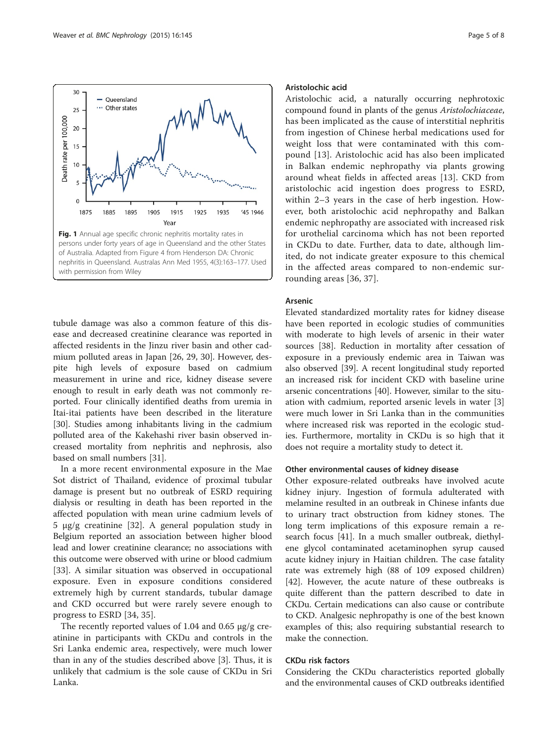<span id="page-4-0"></span>

tubule damage was also a common feature of this disease and decreased creatinine clearance was reported in affected residents in the Jinzu river basin and other cadmium polluted areas in Japan [\[26, 29, 30\]](#page-6-0). However, despite high levels of exposure based on cadmium measurement in urine and rice, kidney disease severe enough to result in early death was not commonly reported. Four clinically identified deaths from uremia in Itai-itai patients have been described in the literature [[30\]](#page-6-0). Studies among inhabitants living in the cadmium polluted area of the Kakehashi river basin observed increased mortality from nephritis and nephrosis, also based on small numbers [[31](#page-6-0)].

In a more recent environmental exposure in the Mae Sot district of Thailand, evidence of proximal tubular damage is present but no outbreak of ESRD requiring dialysis or resulting in death has been reported in the affected population with mean urine cadmium levels of 5 μg/g creatinine [\[32\]](#page-6-0). A general population study in Belgium reported an association between higher blood lead and lower creatinine clearance; no associations with this outcome were observed with urine or blood cadmium [[33\]](#page-7-0). A similar situation was observed in occupational exposure. Even in exposure conditions considered extremely high by current standards, tubular damage and CKD occurred but were rarely severe enough to progress to ESRD [[34, 35\]](#page-7-0).

The recently reported values of 1.04 and 0.65 μg/g creatinine in participants with CKDu and controls in the Sri Lanka endemic area, respectively, were much lower than in any of the studies described above [[3\]](#page-6-0). Thus, it is unlikely that cadmium is the sole cause of CKDu in Sri Lanka.

## Aristolochic acid

Aristolochic acid, a naturally occurring nephrotoxic compound found in plants of the genus Aristolochiaceae, has been implicated as the cause of interstitial nephritis from ingestion of Chinese herbal medications used for weight loss that were contaminated with this compound [[13\]](#page-6-0). Aristolochic acid has also been implicated in Balkan endemic nephropathy via plants growing around wheat fields in affected areas [\[13](#page-6-0)]. CKD from aristolochic acid ingestion does progress to ESRD, within 2–3 years in the case of herb ingestion. However, both aristolochic acid nephropathy and Balkan endemic nephropathy are associated with increased risk for urothelial carcinoma which has not been reported in CKDu to date. Further, data to date, although limited, do not indicate greater exposure to this chemical in the affected areas compared to non-endemic surrounding areas [\[36, 37\]](#page-7-0).

### Arsenic

Elevated standardized mortality rates for kidney disease have been reported in ecologic studies of communities with moderate to high levels of arsenic in their water sources [\[38](#page-7-0)]. Reduction in mortality after cessation of exposure in a previously endemic area in Taiwan was also observed [\[39](#page-7-0)]. A recent longitudinal study reported an increased risk for incident CKD with baseline urine arsenic concentrations [\[40\]](#page-7-0). However, similar to the situation with cadmium, reported arsenic levels in water [\[3](#page-6-0)] were much lower in Sri Lanka than in the communities where increased risk was reported in the ecologic studies. Furthermore, mortality in CKDu is so high that it does not require a mortality study to detect it.

#### Other environmental causes of kidney disease

Other exposure-related outbreaks have involved acute kidney injury. Ingestion of formula adulterated with melamine resulted in an outbreak in Chinese infants due to urinary tract obstruction from kidney stones. The long term implications of this exposure remain a research focus [[41](#page-7-0)]. In a much smaller outbreak, diethylene glycol contaminated acetaminophen syrup caused acute kidney injury in Haitian children. The case fatality rate was extremely high (88 of 109 exposed children) [[42\]](#page-7-0). However, the acute nature of these outbreaks is quite different than the pattern described to date in CKDu. Certain medications can also cause or contribute to CKD. Analgesic nephropathy is one of the best known examples of this; also requiring substantial research to make the connection.

#### CKDu risk factors

Considering the CKDu characteristics reported globally and the environmental causes of CKD outbreaks identified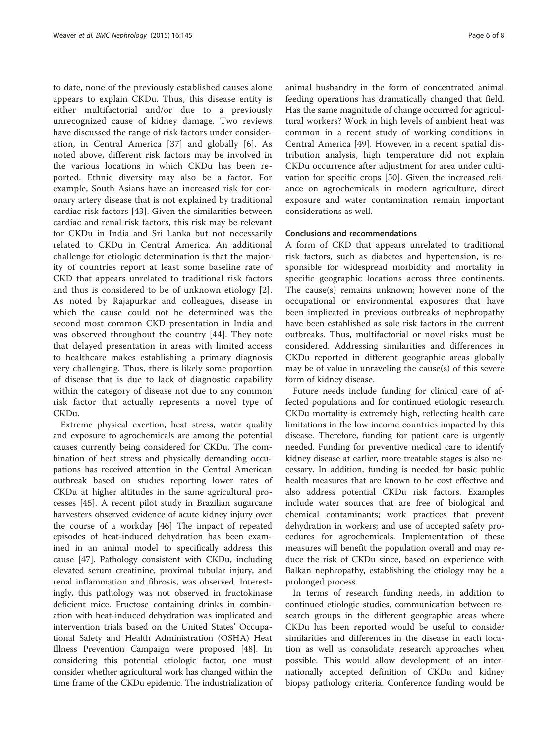to date, none of the previously established causes alone appears to explain CKDu. Thus, this disease entity is either multifactorial and/or due to a previously unrecognized cause of kidney damage. Two reviews have discussed the range of risk factors under consideration, in Central America [\[37\]](#page-7-0) and globally [\[6](#page-6-0)]. As noted above, different risk factors may be involved in the various locations in which CKDu has been reported. Ethnic diversity may also be a factor. For example, South Asians have an increased risk for coronary artery disease that is not explained by traditional cardiac risk factors [\[43\]](#page-7-0). Given the similarities between cardiac and renal risk factors, this risk may be relevant for CKDu in India and Sri Lanka but not necessarily related to CKDu in Central America. An additional challenge for etiologic determination is that the majority of countries report at least some baseline rate of CKD that appears unrelated to traditional risk factors and thus is considered to be of unknown etiology [[2](#page-6-0)]. As noted by Rajapurkar and colleagues, disease in which the cause could not be determined was the second most common CKD presentation in India and was observed throughout the country [[44](#page-7-0)]. They note that delayed presentation in areas with limited access to healthcare makes establishing a primary diagnosis very challenging. Thus, there is likely some proportion of disease that is due to lack of diagnostic capability within the category of disease not due to any common risk factor that actually represents a novel type of CKDu.

Extreme physical exertion, heat stress, water quality and exposure to agrochemicals are among the potential causes currently being considered for CKDu. The combination of heat stress and physically demanding occupations has received attention in the Central American outbreak based on studies reporting lower rates of CKDu at higher altitudes in the same agricultural processes [[45](#page-7-0)]. A recent pilot study in Brazilian sugarcane harvesters observed evidence of acute kidney injury over the course of a workday [\[46\]](#page-7-0) The impact of repeated episodes of heat-induced dehydration has been examined in an animal model to specifically address this cause [[47\]](#page-7-0). Pathology consistent with CKDu, including elevated serum creatinine, proximal tubular injury, and renal inflammation and fibrosis, was observed. Interestingly, this pathology was not observed in fructokinase deficient mice. Fructose containing drinks in combination with heat-induced dehydration was implicated and intervention trials based on the United States' Occupational Safety and Health Administration (OSHA) Heat Illness Prevention Campaign were proposed [\[48](#page-7-0)]. In considering this potential etiologic factor, one must consider whether agricultural work has changed within the time frame of the CKDu epidemic. The industrialization of

animal husbandry in the form of concentrated animal feeding operations has dramatically changed that field. Has the same magnitude of change occurred for agricultural workers? Work in high levels of ambient heat was common in a recent study of working conditions in Central America [\[49](#page-7-0)]. However, in a recent spatial distribution analysis, high temperature did not explain CKDu occurrence after adjustment for area under cultivation for specific crops [\[50](#page-7-0)]. Given the increased reliance on agrochemicals in modern agriculture, direct exposure and water contamination remain important considerations as well.

# Conclusions and recommendations

A form of CKD that appears unrelated to traditional risk factors, such as diabetes and hypertension, is responsible for widespread morbidity and mortality in specific geographic locations across three continents. The cause(s) remains unknown; however none of the occupational or environmental exposures that have been implicated in previous outbreaks of nephropathy have been established as sole risk factors in the current outbreaks. Thus, multifactorial or novel risks must be considered. Addressing similarities and differences in CKDu reported in different geographic areas globally may be of value in unraveling the cause(s) of this severe form of kidney disease.

Future needs include funding for clinical care of affected populations and for continued etiologic research. CKDu mortality is extremely high, reflecting health care limitations in the low income countries impacted by this disease. Therefore, funding for patient care is urgently needed. Funding for preventive medical care to identify kidney disease at earlier, more treatable stages is also necessary. In addition, funding is needed for basic public health measures that are known to be cost effective and also address potential CKDu risk factors. Examples include water sources that are free of biological and chemical contaminants; work practices that prevent dehydration in workers; and use of accepted safety procedures for agrochemicals. Implementation of these measures will benefit the population overall and may reduce the risk of CKDu since, based on experience with Balkan nephropathy, establishing the etiology may be a prolonged process.

In terms of research funding needs, in addition to continued etiologic studies, communication between research groups in the different geographic areas where CKDu has been reported would be useful to consider similarities and differences in the disease in each location as well as consolidate research approaches when possible. This would allow development of an internationally accepted definition of CKDu and kidney biopsy pathology criteria. Conference funding would be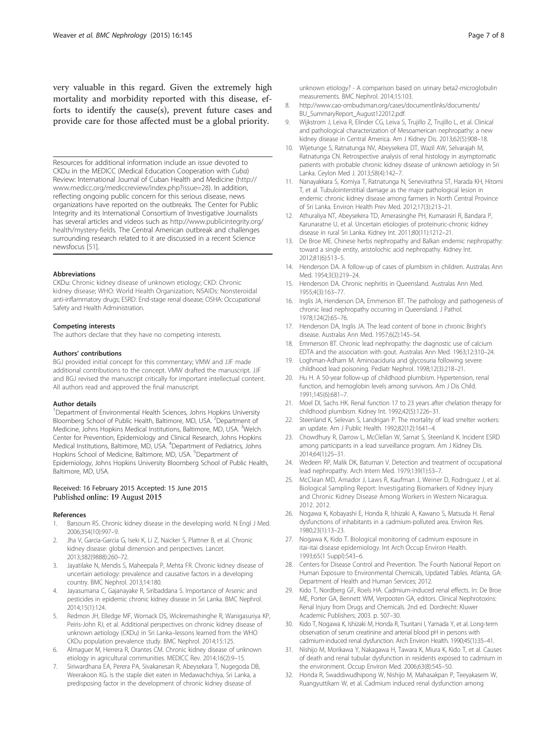<span id="page-6-0"></span>very valuable in this regard. Given the extremely high mortality and morbidity reported with this disease, efforts to identify the cause(s), prevent future cases and provide care for those affected must be a global priority.

Resources for additional information include an issue devoted to CKDu in the MEDICC (Medical Education Cooperation with Cuba) Review: International Journal of Cuban Health and Medicine ([http://](http://www.medicc.org/mediccreview/index.php?issue=28) [www.medicc.org/mediccreview/index.php?issue=28\)](http://www.medicc.org/mediccreview/index.php?issue=28). In addition, reflecting ongoing public concern for this serious disease, news organizations have reported on the outbreaks. The Center for Public Integrity and its International Consortium of Investigative Journalists has several articles and videos such as [http://www.publicintegrity.org/](http://ais.paho.org/phip/viz/nmh_renalfailure_ckd_visualization.asp) [health/mystery-fields](http://ais.paho.org/phip/viz/nmh_renalfailure_ckd_visualization.asp). The Central American outbreak and challenges surrounding research related to it are discussed in a recent Science newsfocus [[51](#page-7-0)].

#### Abbreviations

CKDu: Chronic kidney disease of unknown etiology; CKD: Chronic kidney disease; WHO: World Health Organization; NSAIDs: Nonsteroidal anti-inflammatory drugs; ESRD: End-stage renal disease; OSHA: Occupational Safety and Health Administration.

#### Competing interests

The authors declare that they have no competing interests.

#### Authors' contributions

BGJ provided initial concept for this commentary; VMW and JJF made additional contributions to the concept. VMW drafted the manuscript. JJF and BGJ revised the manuscript critically for important intellectual content. All authors read and approved the final manuscript.

#### Author details

<sup>1</sup>Department of Environmental Health Sciences, Johns Hopkins University Bloomberg School of Public Health, Baltimore, MD, USA. <sup>2</sup>Department of Medicine, Johns Hopkins Medical Institutions, Baltimore, MD, USA. <sup>3</sup>Welch Center for Prevention, Epidemiology and Clinical Research, Johns Hopkins Medical Institutions, Baltimore, MD, USA. <sup>4</sup>Department of Pediatrics, Johns Hopkins School of Medicine, Baltimore, MD, USA. <sup>5</sup>Department of Epidemiology, Johns Hopkins University Bloomberg School of Public Health, Baltimore, MD, USA.

#### Received: 16 February 2015 Accepted: 15 June 2015 Published online: 19 August 2015

#### References

- Barsoum RS. Chronic kidney disease in the developing world. N Engl J Med. 2006;354(10):997–9.
- Jha V, Garcia-Garcia G, Iseki K, Li Z, Naicker S, Plattner B, et al. Chronic kidney disease: global dimension and perspectives. Lancet. 2013;382(9888):260–72.
- 3. Jayatilake N, Mendis S, Maheepala P, Mehta FR. Chronic kidney disease of uncertain aetiology: prevalence and causative factors in a developing country. BMC Nephrol. 2013;14:180.
- Jayasumana C, Gajanayake R, Siribaddana S. Importance of Arsenic and pesticides in epidemic chronic kidney disease in Sri Lanka. BMC Nephrol. 2014;15(1):124.
- 5. Redmon JH, Elledge MF, Womack DS, Wickremashinghe R, Wanigasuriya KP, Peiris-John RJ, et al. Additional perspectives on chronic kidney disease of unknown aetiology (CKDu) in Sri Lanka–lessons learned from the WHO CKDu population prevalence study. BMC Nephrol. 2014;15:125.
- 6. Almaguer M, Herrera R, Orantes CM. Chronic kidney disease of unknown etiology in agricultural communities. MEDICC Rev. 2014;16(2):9–15.
- 7. Siriwardhana EA, Perera PA, Sivakanesan R, Abeysekara T, Nugegoda DB, Weerakoon KG. Is the staple diet eaten in Medawachchiya, Sri Lanka, a predisposing factor in the development of chronic kidney disease of

unknown etiology? - A comparison based on urinary beta2-microglobulin measurements. BMC Nephrol. 2014;15:103.

- 8. [http://www.cao-ombudsman.org/cases/documentlinks/documents/](http://www.medicc.org/mediccreview/index.php?issue=28) [BU\\_SummaryReport\\_August122012.pdf](http://www.medicc.org/mediccreview/index.php?issue=28).
- 9. Wijkstrom J, Leiva R, Elinder CG, Leiva S, Trujillo Z, Trujillo L, et al. Clinical and pathological characterization of Mesoamerican nephropathy: a new kidney disease in Central America. Am J Kidney Dis. 2013;62(5):908–18.
- 10. Wijetunge S, Ratnatunga NV, Abeysekera DT, Wazil AW, Selvarajah M, Ratnatunga CN. Retrospective analysis of renal histology in asymptomatic patients with probable chronic kidney disease of unknown aetiology in Sri Lanka. Ceylon Med J. 2013;58(4):142–7.
- 11. Nanayakkara S, Komiya T, Ratnatunga N, Senevirathna ST, Harada KH, Hitomi T, et al. Tubulointerstitial damage as the major pathological lesion in endemic chronic kidney disease among farmers in North Central Province of Sri Lanka. Environ Health Prev Med. 2012;17(3):213–21.
- 12. Athuraliya NT, Abeysekera TD, Amerasinghe PH, Kumarasiri R, Bandara P, Karunaratne U, et al. Uncertain etiologies of proteinuric-chronic kidney disease in rural Sri Lanka. Kidney Int. 2011;80(11):1212–21.
- 13. De Broe ME. Chinese herbs nephropathy and Balkan endemic nephropathy: toward a single entity, aristolochic acid nephropathy. Kidney Int. 2012;81(6):513–5.
- 14. Henderson DA. A follow-up of cases of plumbism in children. Australas Ann Med. 1954;3(3):219–24.
- 15. Henderson DA. Chronic nephritis in Queensland. Australas Ann Med. 1955;4(3):163–77.
- 16. Inglis JA, Henderson DA, Emmerson BT. The pathology and pathogenesis of chronic lead nephropathy occurring in Queensland. J Pathol. 1978;124(2):65–76.
- 17. Henderson DA, Inglis JA. The lead content of bone in chronic Bright's disease. Australas Ann Med. 1957;6(2):145–54.
- 18. Emmerson BT. Chronic lead nephropathy: the diagnostic use of calcium EDTA and the association with gout. Australas Ann Med. 1963;12:310–24.
- 19. Loghman-Adham M. Aminoaciduria and glycosuria following severe childhood lead poisoning. Pediatr Nephrol. 1998;12(3):218–21.
- 20. Hu H. A 50-year follow-up of childhood plumbism. Hypertension, renal function, and hemoglobin levels among survivors. Am J Dis Child. 1991;145(6):681–7.
- 21. Moel DI, Sachs HK. Renal function 17 to 23 years after chelation therapy for childhood plumbism. Kidney Int. 1992;42(5):1226–31.
- 22. Steenland K, Selevan S, Landrigan P. The mortality of lead smelter workers: an update. Am J Public Health. 1992;82(12):1641–4.
- 23. Chowdhury R, Darrow L, McClellan W, Sarnat S, Steenland K. Incident ESRD among participants in a lead surveillance program. Am J Kidney Dis. 2014;64(1):25–31.
- 24. Wedeen RP, Malik DK, Batuman V. Detection and treatment of occupational lead nephropathy. Arch Intern Med. 1979;139(1):53–7.
- 25. McClean MD, Amador J, Laws R, Kaufman J, Weiner D, Rodrıguez J, et al. Biological Sampling Report: Investigating Biomarkers of Kidney Injury and Chronic Kidney Disease Among Workers in Western Nicaragua. 2012. 2012.
- 26. Nogawa K, Kobayashi E, Honda R, Ishizaki A, Kawano S, Matsuda H. Renal dysfunctions of inhabitants in a cadmium-polluted area. Environ Res. 1980;23(1):13–23.
- 27. Nogawa K, Kido T. Biological monitoring of cadmium exposure in itai-itai disease epidemiology. Int Arch Occup Environ Health. 1993;65(1 Suppl):S43–6.
- 28. Centers for Disease Control and Prevention. The Fourth National Report on Human Exposure to Environmental Chemicals, Updated Tables. Atlanta, GA: Department of Health and Human Services; 2012.
- 29. Kido T, Nordberg GF, Roels HA. Cadmium-induced renal effects. In: De Broe ME, Porter GA, Bennett WM, Verpooten GA, editors. Clinical Nephrotoxins: Renal Injury from Drugs and Chemicals. 2nd ed. Dordrecht: Kluwer Academic Publishers; 2003. p. 507–30.
- 30. Kido T, Nogawa K, Ishizaki M, Honda R, Tsuritani I, Yamada Y, et al. Long-term observation of serum creatinine and arterial blood pH in persons with cadmium-induced renal dysfunction. Arch Environ Health. 1990;45(1):35–41.
- 31. Nishijo M, Morikawa Y, Nakagawa H, Tawara K, Miura K, Kido T, et al. Causes of death and renal tubular dysfunction in residents exposed to cadmium in the environment. Occup Environ Med. 2006;63(8):545–50.
- 32. Honda R, Swaddiwudhipong W, Nishijo M, Mahasakpan P, Teeyakasem W, Ruangyuttikarn W, et al. Cadmium induced renal dysfunction among